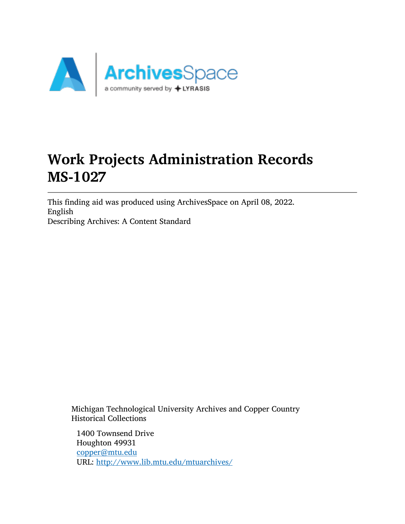

# Work Projects Administration Records MS-1027

This finding aid was produced using ArchivesSpace on April 08, 2022. English Describing Archives: A Content Standard

Michigan Technological University Archives and Copper Country Historical Collections

1400 Townsend Drive Houghton 49931 [copper@mtu.edu](mailto:copper@mtu.edu) URL: <http://www.lib.mtu.edu/mtuarchives/>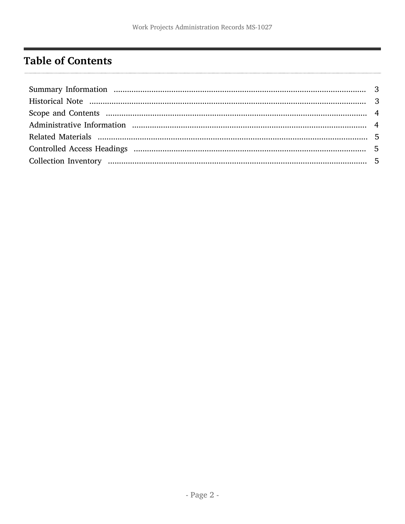# <span id="page-1-0"></span>**Table of Contents**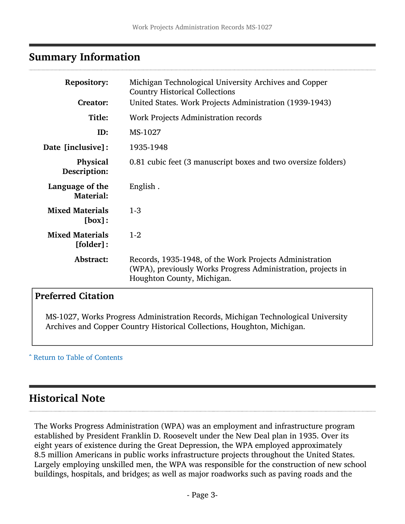## <span id="page-2-0"></span>Summary Information

| <b>Repository:</b><br><b>Creator:</b>  | Michigan Technological University Archives and Copper<br><b>Country Historical Collections</b>                                                        |  |  |
|----------------------------------------|-------------------------------------------------------------------------------------------------------------------------------------------------------|--|--|
|                                        | United States. Work Projects Administration (1939-1943)                                                                                               |  |  |
| Title:                                 | Work Projects Administration records                                                                                                                  |  |  |
| ID:                                    | MS-1027                                                                                                                                               |  |  |
| Date [inclusive]:                      | 1935-1948                                                                                                                                             |  |  |
| <b>Physical</b><br>Description:        | 0.81 cubic feet (3 manuscript boxes and two oversize folders)                                                                                         |  |  |
| Language of the<br><b>Material:</b>    | English.                                                                                                                                              |  |  |
| <b>Mixed Materials</b><br>[box]:       | $1-3$                                                                                                                                                 |  |  |
| <b>Mixed Materials</b><br>$[folder]$ : | $1-2$                                                                                                                                                 |  |  |
| Abstract:                              | Records, 1935-1948, of the Work Projects Administration<br>(WPA), previously Works Progress Administration, projects in<br>Houghton County, Michigan. |  |  |

#### Preferred Citation

MS-1027, Works Progress Administration Records, Michigan Technological University Archives and Copper Country Historical Collections, Houghton, Michigan.

^ [Return to Table of Contents](#page-1-0)

# <span id="page-2-1"></span>Historical Note

The Works Progress Administration (WPA) was an employment and infrastructure program established by President Franklin D. Roosevelt under the New Deal plan in 1935. Over its eight years of existence during the Great Depression, the WPA employed approximately 8.5 million Americans in public works infrastructure projects throughout the United States. Largely employing unskilled men, the WPA was responsible for the construction of new school buildings, hospitals, and bridges; as well as major roadworks such as paving roads and the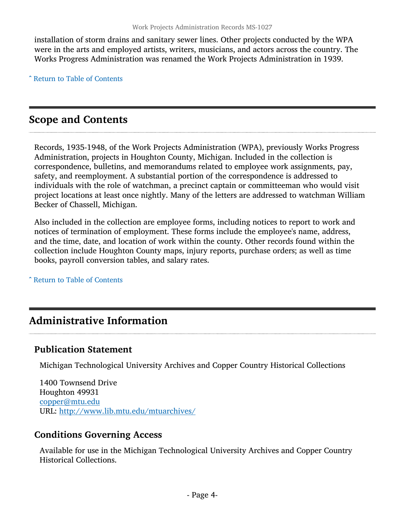installation of storm drains and sanitary sewer lines. Other projects conducted by the WPA were in the arts and employed artists, writers, musicians, and actors across the country. The Works Progress Administration was renamed the Work Projects Administration in 1939.

^ [Return to Table of Contents](#page-1-0)

## <span id="page-3-0"></span>Scope and Contents

Records, 1935-1948, of the Work Projects Administration (WPA), previously Works Progress Administration, projects in Houghton County, Michigan. Included in the collection is correspondence, bulletins, and memorandums related to employee work assignments, pay, safety, and reemployment. A substantial portion of the correspondence is addressed to individuals with the role of watchman, a precinct captain or committeeman who would visit project locations at least once nightly. Many of the letters are addressed to watchman William Becker of Chassell, Michigan.

Also included in the collection are employee forms, including notices to report to work and notices of termination of employment. These forms include the employee's name, address, and the time, date, and location of work within the county. Other records found within the collection include Houghton County maps, injury reports, purchase orders; as well as time books, payroll conversion tables, and salary rates.

^ [Return to Table of Contents](#page-1-0)

# <span id="page-3-1"></span>Administrative Information

#### Publication Statement

Michigan Technological University Archives and Copper Country Historical Collections

1400 Townsend Drive Houghton 49931 [copper@mtu.edu](mailto:copper@mtu.edu) URL: <http://www.lib.mtu.edu/mtuarchives/>

#### Conditions Governing Access

Available for use in the Michigan Technological University Archives and Copper Country Historical Collections.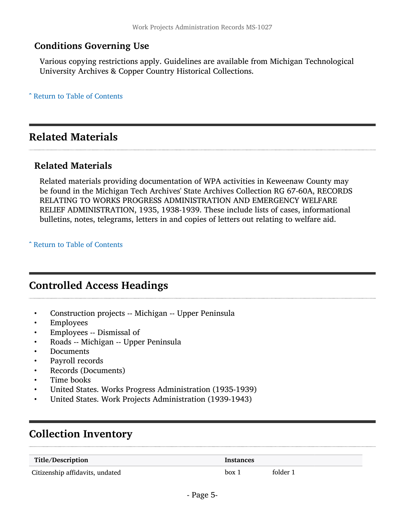#### Conditions Governing Use

Various copying restrictions apply. Guidelines are available from Michigan Technological University Archives & Copper Country Historical Collections.

^ [Return to Table of Contents](#page-1-0)

# <span id="page-4-0"></span>Related Materials

#### Related Materials

Related materials providing documentation of WPA activities in Keweenaw County may be found in the Michigan Tech Archives' State Archives Collection RG 67-60A, RECORDS RELATING TO WORKS PROGRESS ADMINISTRATION AND EMERGENCY WELFARE RELIEF ADMINISTRATION, 1935, 1938-1939. These include lists of cases, informational bulletins, notes, telegrams, letters in and copies of letters out relating to welfare aid.

^ [Return to Table of Contents](#page-1-0)

### <span id="page-4-1"></span>Controlled Access Headings

- Construction projects -- Michigan -- Upper Peninsula
- **Employees**
- Employees -- Dismissal of
- Roads -- Michigan -- Upper Peninsula
- Documents
- Payroll records
- Records (Documents)
- Time books
- United States. Works Progress Administration (1935-1939)
- United States. Work Projects Administration (1939-1943)

# <span id="page-4-2"></span>Collection Inventory

| Title/Description               | Instances |          |  |
|---------------------------------|-----------|----------|--|
| Citizenship affidavits, undated | box 1     | folder 1 |  |